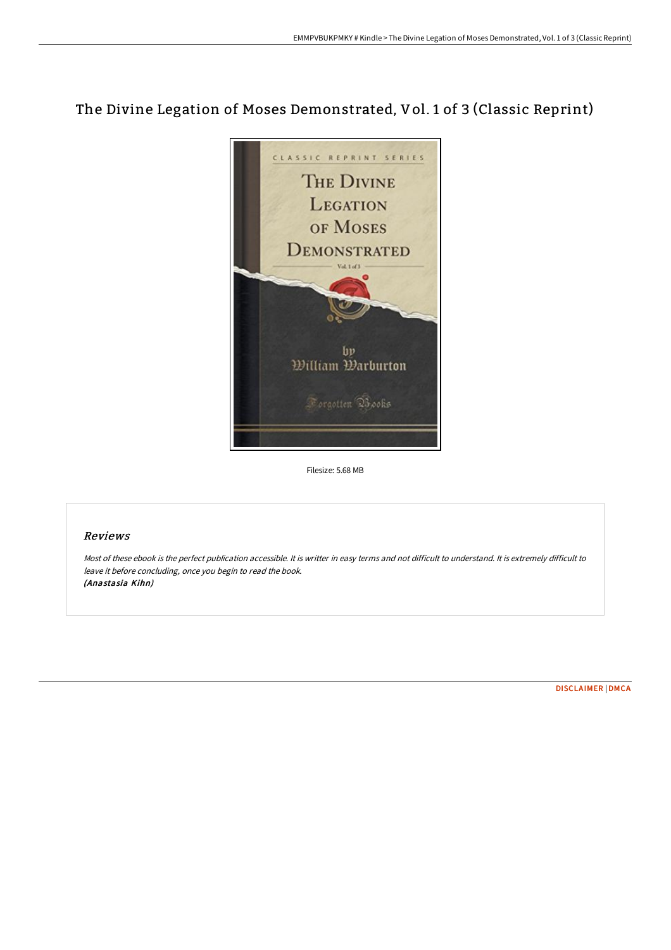# The Divine Legation of Moses Demonstrated, Vol. 1 of 3 (Classic Reprint)



Filesize: 5.68 MB

## Reviews

Most of these ebook is the perfect publication accessible. It is writter in easy terms and not difficult to understand. It is extremely difficult to leave it before concluding, once you begin to read the book. (Anastasia Kihn)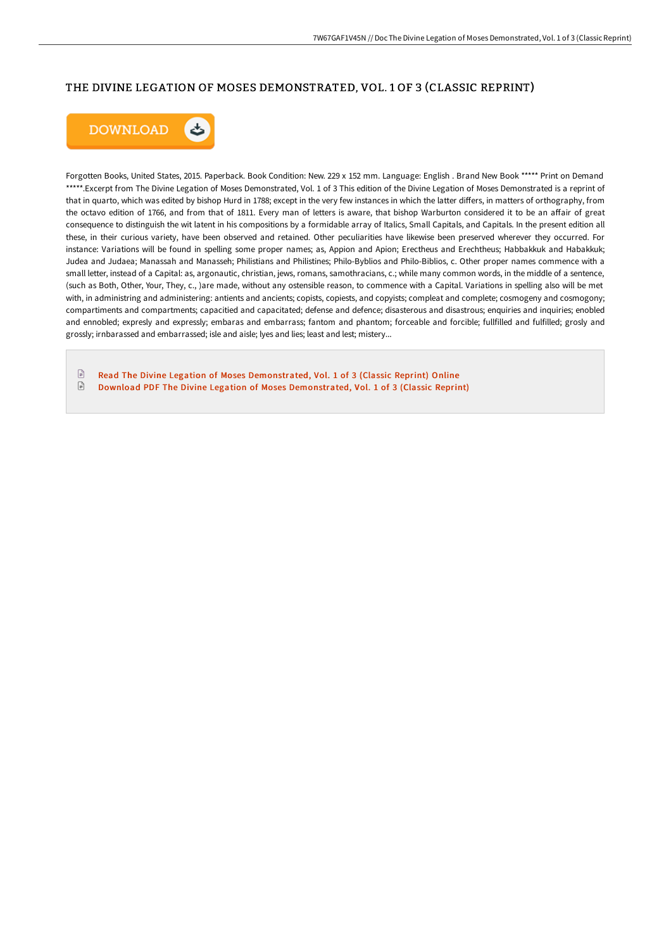## THE DIVINE LEGATION OF MOSES DEMONSTRATED, VOL. 1 OF 3 (CLASSIC REPRINT)



Forgotten Books, United States, 2015. Paperback. Book Condition: New. 229 x 152 mm. Language: English . Brand New Book \*\*\*\*\* Print on Demand \*\*\*\*\*.Excerpt from The Divine Legation of Moses Demonstrated, Vol. 1 of 3 This edition of the Divine Legation of Moses Demonstrated is a reprint of that in quarto, which was edited by bishop Hurd in 1788; except in the very few instances in which the latter differs, in matters of orthography, from the octavo edition of 1766, and from that of 1811. Every man of letters is aware, that bishop Warburton considered it to be an affair of great consequence to distinguish the wit latent in his compositions by a formidable array of Italics, Small Capitals, and Capitals. In the present edition all these, in their curious variety, have been observed and retained. Other peculiarities have likewise been preserved wherever they occurred. For instance: Variations will be found in spelling some proper names; as, Appion and Apion; Erectheus and Erechtheus; Habbakkuk and Habakkuk; Judea and Judaea; Manassah and Manasseh; Philistians and Philistines; Philo-Byblios and Philo-Biblios, c. Other proper names commence with a small letter, instead of a Capital: as, argonautic, christian, jews, romans, samothracians, c.; while many common words, in the middle of a sentence, (such as Both, Other, Your, They, c., )are made, without any ostensible reason, to commence with a Capital. Variations in spelling also will be met with, in administring and administering: antients and ancients; copiests, copiests, and copyists; compleat and complete; cosmogeny and cosmogony; compartiments and compartments; capacitied and capacitated; defense and defence; disasterous and disastrous; enquiries and inquiries; enobled and ennobled; expresly and expressly; embaras and embarrass; fantom and phantom; forceable and forcible; fullfilled and fulfilled; grosly and grossly; irnbarassed and embarrassed; isle and aisle; lyes and lies; least and lest; mistery...

 $\mathbb{R}$ Read The Divine Legation of Moses [Demonstrated,](http://digilib.live/the-divine-legation-of-moses-demonstrated-vol-1-.html) Vol. 1 of 3 (Classic Reprint) Online  $\ensuremath{\boxdot}$ Download PDF The Divine Legation of Moses [Demonstrated,](http://digilib.live/the-divine-legation-of-moses-demonstrated-vol-1-.html) Vol. 1 of 3 (Classic Reprint)